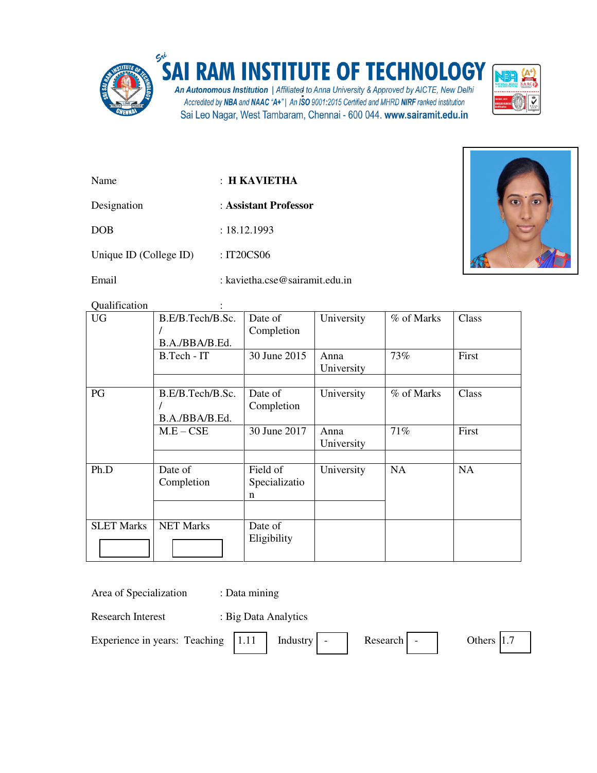

## **INSTITUTE OF TECHNOLOGY** A

An Autonomous Institution | Affiliated to Anna University & Approved by AICTE, New Delhi<br>Accredited by NBA and NAAC "A+" | An ISO 9001:2015 Certified and MHRD NIRF ranked institution Sai Leo Nagar, West Tambaram, Chennai - 600 044. www.sairamit.edu.in



| Name                   | $\pm$ H KAVIETHA               |  |
|------------------------|--------------------------------|--|
| Designation            | : Assistant Professor          |  |
| <b>DOB</b>             | : 18.12.1993                   |  |
| Unique ID (College ID) | : IT20CS06                     |  |
| Email                  | : kavietha.cse@sairamit.edu.in |  |



Qualification :

| <b>UG</b>         | B.E/B.Tech/B.Sc.<br>B.A./BBA/B.Ed. | Date of<br>Completion          | University         | % of Marks | Class     |
|-------------------|------------------------------------|--------------------------------|--------------------|------------|-----------|
|                   | B.Tech - IT                        | 30 June 2015                   | Anna<br>University | 73%        | First     |
|                   |                                    |                                |                    |            |           |
| PG                | B.E/B.Tech/B.Sc.<br>B.A./BBA/B.Ed. | Date of<br>Completion          | University         | % of Marks | Class     |
|                   | $M.E - CSE$                        | 30 June 2017                   | Anna<br>University | 71%        | First     |
|                   |                                    |                                |                    |            |           |
| Ph.D              | Date of<br>Completion              | Field of<br>Specializatio<br>n | University         | <b>NA</b>  | <b>NA</b> |
|                   |                                    |                                |                    |            |           |
| <b>SLET Marks</b> | <b>NET Marks</b>                   | Date of<br>Eligibility         |                    |            |           |

|  | Area of Specialization |  |
|--|------------------------|--|
|--|------------------------|--|

: Data mining

Research Interest : Big Data Analytics

Experience in years: Teaching  $|1.11|$  Industry - Research - Others 1.7